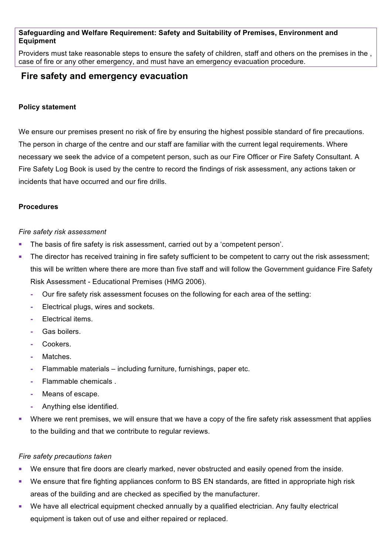# **Safeguarding and Welfare Requirement: Safety and Suitability of Premises, Environment and Equipment**

Providers must take reasonable steps to ensure the safety of children, staff and others on the premises in the , case of fire or any other emergency, and must have an emergency evacuation procedure.

# **Fire safety and emergency evacuation**

## **Policy statement**

We ensure our premises present no risk of fire by ensuring the highest possible standard of fire precautions. The person in charge of the centre and our staff are familiar with the current legal requirements. Where necessary we seek the advice of a competent person, such as our Fire Officer or Fire Safety Consultant. A Fire Safety Log Book is used by the centre to record the findings of risk assessment, any actions taken or incidents that have occurred and our fire drills.

#### **Procedures**

#### *Fire safety risk assessment*

- The basis of fire safety is risk assessment, carried out by a 'competent person'.
- The director has received training in fire safety sufficient to be competent to carry out the risk assessment; this will be written where there are more than five staff and will follow the Government guidance Fire Safety Risk Assessment - Educational Premises (HMG 2006).
	- **-** Our fire safety risk assessment focuses on the following for each area of the setting:
	- **-** Electrical plugs, wires and sockets.
	- **-** Electrical items.
	- **-** Gas boilers.
	- **-** Cookers.
	- **-** Matches.
	- **-** Flammable materials including furniture, furnishings, paper etc.
	- **-** Flammable chemicals .
	- **-** Means of escape.
	- **-** Anything else identified.
- Where we rent premises, we will ensure that we have a copy of the fire safety risk assessment that applies to the building and that we contribute to regular reviews.

## *Fire safety precautions taken*

- We ensure that fire doors are clearly marked, never obstructed and easily opened from the inside.
- We ensure that fire fighting appliances conform to BS EN standards, are fitted in appropriate high risk areas of the building and are checked as specified by the manufacturer.
- We have all electrical equipment checked annually by a qualified electrician. Any faulty electrical equipment is taken out of use and either repaired or replaced.